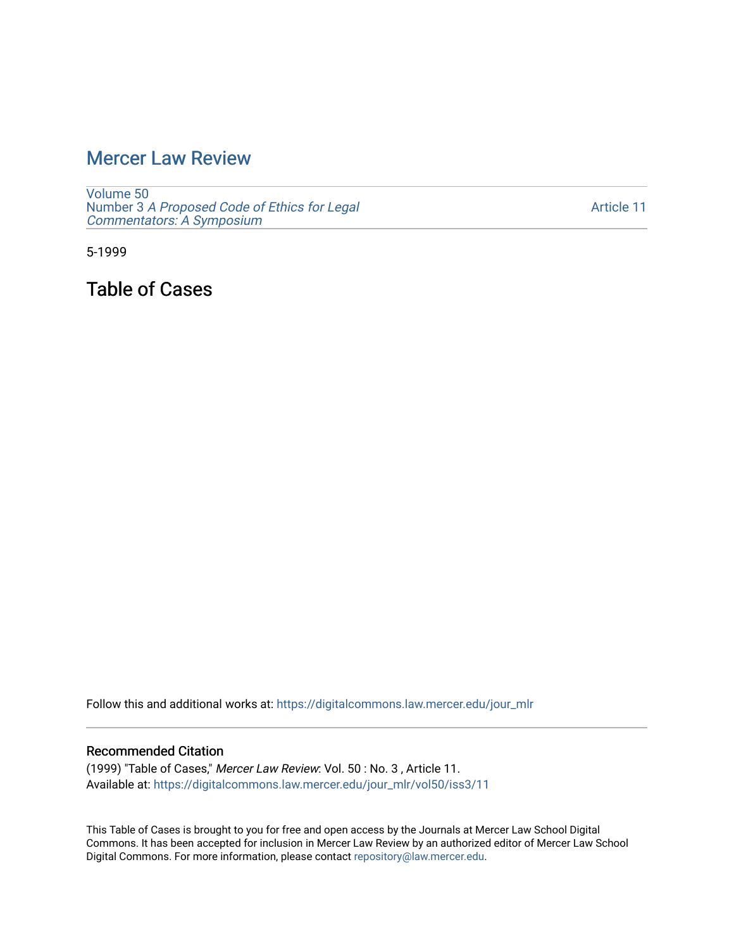## [Mercer Law Review](https://digitalcommons.law.mercer.edu/jour_mlr)

[Volume 50](https://digitalcommons.law.mercer.edu/jour_mlr/vol50) Number 3 [A Proposed Code of Ethics for Legal](https://digitalcommons.law.mercer.edu/jour_mlr/vol50/iss3) [Commentators: A Symposium](https://digitalcommons.law.mercer.edu/jour_mlr/vol50/iss3)

[Article 11](https://digitalcommons.law.mercer.edu/jour_mlr/vol50/iss3/11) 

5-1999

Table of Cases

Follow this and additional works at: [https://digitalcommons.law.mercer.edu/jour\\_mlr](https://digitalcommons.law.mercer.edu/jour_mlr?utm_source=digitalcommons.law.mercer.edu%2Fjour_mlr%2Fvol50%2Fiss3%2F11&utm_medium=PDF&utm_campaign=PDFCoverPages)

## Recommended Citation

(1999) "Table of Cases," Mercer Law Review: Vol. 50 : No. 3 , Article 11. Available at: [https://digitalcommons.law.mercer.edu/jour\\_mlr/vol50/iss3/11](https://digitalcommons.law.mercer.edu/jour_mlr/vol50/iss3/11?utm_source=digitalcommons.law.mercer.edu%2Fjour_mlr%2Fvol50%2Fiss3%2F11&utm_medium=PDF&utm_campaign=PDFCoverPages) 

This Table of Cases is brought to you for free and open access by the Journals at Mercer Law School Digital Commons. It has been accepted for inclusion in Mercer Law Review by an authorized editor of Mercer Law School Digital Commons. For more information, please contact [repository@law.mercer.edu](mailto:repository@law.mercer.edu).